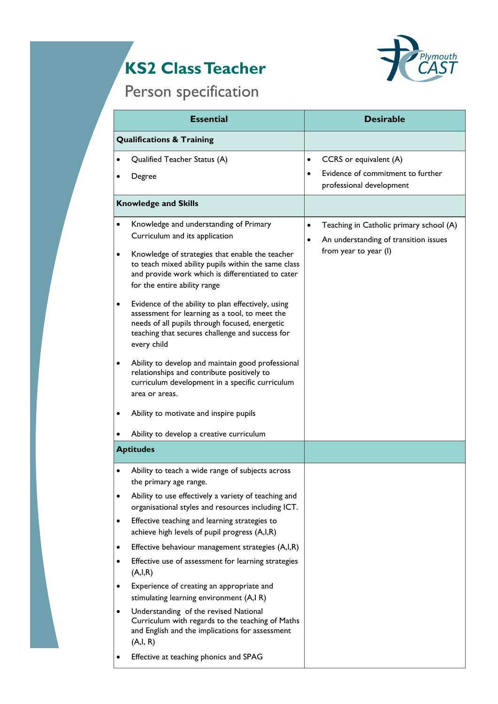## **KS2 Class Teacher**



## Person specification

| <b>Essential</b><br><b>Qualifications &amp; Training</b> |                                                                                                                                                                                                                                                                                                                                                                                                                                                                                                                                                                                                                                                                                                                                                                   | <b>Desirable</b>       |                                                                                                           |
|----------------------------------------------------------|-------------------------------------------------------------------------------------------------------------------------------------------------------------------------------------------------------------------------------------------------------------------------------------------------------------------------------------------------------------------------------------------------------------------------------------------------------------------------------------------------------------------------------------------------------------------------------------------------------------------------------------------------------------------------------------------------------------------------------------------------------------------|------------------------|-----------------------------------------------------------------------------------------------------------|
|                                                          |                                                                                                                                                                                                                                                                                                                                                                                                                                                                                                                                                                                                                                                                                                                                                                   |                        |                                                                                                           |
|                                                          | Degree                                                                                                                                                                                                                                                                                                                                                                                                                                                                                                                                                                                                                                                                                                                                                            | $\bullet$              | Evidence of commitment to further<br>professional development                                             |
|                                                          | <b>Knowledge and Skills</b>                                                                                                                                                                                                                                                                                                                                                                                                                                                                                                                                                                                                                                                                                                                                       |                        |                                                                                                           |
| $\bullet$<br>$\bullet$<br>٠<br>$\bullet$<br>$\bullet$    | Knowledge and understanding of Primary<br>Curriculum and its application<br>Knowledge of strategies that enable the teacher<br>to teach mixed ability pupils within the same class<br>and provide work which is differentiated to cater<br>for the entire ability range<br>Evidence of the ability to plan effectively, using<br>assessment for learning as a tool, to meet the<br>needs of all pupils through focused, energetic<br>teaching that secures challenge and success for<br>every child<br>Ability to develop and maintain good professional<br>relationships and contribute positively to<br>curriculum development in a specific curriculum<br>area or areas.<br>Ability to motivate and inspire pupils<br>Ability to develop a creative curriculum | $\bullet$<br>$\bullet$ | Teaching in Catholic primary school (A)<br>An understanding of transition issues<br>from year to year (I) |
| <b>Aptitudes</b>                                         |                                                                                                                                                                                                                                                                                                                                                                                                                                                                                                                                                                                                                                                                                                                                                                   |                        |                                                                                                           |
| ٠                                                        | Ability to teach a wide range of subjects across<br>the primary age range.<br>Ability to use effectively a variety of teaching and<br>organisational styles and resources including ICT.                                                                                                                                                                                                                                                                                                                                                                                                                                                                                                                                                                          |                        |                                                                                                           |
| $\bullet$                                                | Effective teaching and learning strategies to<br>achieve high levels of pupil progress (A,I,R)                                                                                                                                                                                                                                                                                                                                                                                                                                                                                                                                                                                                                                                                    |                        |                                                                                                           |
| $\bullet$                                                | Effective behaviour management strategies (A,I,R)                                                                                                                                                                                                                                                                                                                                                                                                                                                                                                                                                                                                                                                                                                                 |                        |                                                                                                           |
| $\bullet$                                                | Effective use of assessment for learning strategies<br>(A,I,R)                                                                                                                                                                                                                                                                                                                                                                                                                                                                                                                                                                                                                                                                                                    |                        |                                                                                                           |
| $\bullet$                                                | Experience of creating an appropriate and<br>stimulating learning environment (A,I R)                                                                                                                                                                                                                                                                                                                                                                                                                                                                                                                                                                                                                                                                             |                        |                                                                                                           |
| $\bullet$                                                | Understanding of the revised National<br>Curriculum with regards to the teaching of Maths<br>and English and the implications for assessment<br>(A,I,R)                                                                                                                                                                                                                                                                                                                                                                                                                                                                                                                                                                                                           |                        |                                                                                                           |
|                                                          | Effective at teaching phonics and SPAG                                                                                                                                                                                                                                                                                                                                                                                                                                                                                                                                                                                                                                                                                                                            |                        |                                                                                                           |